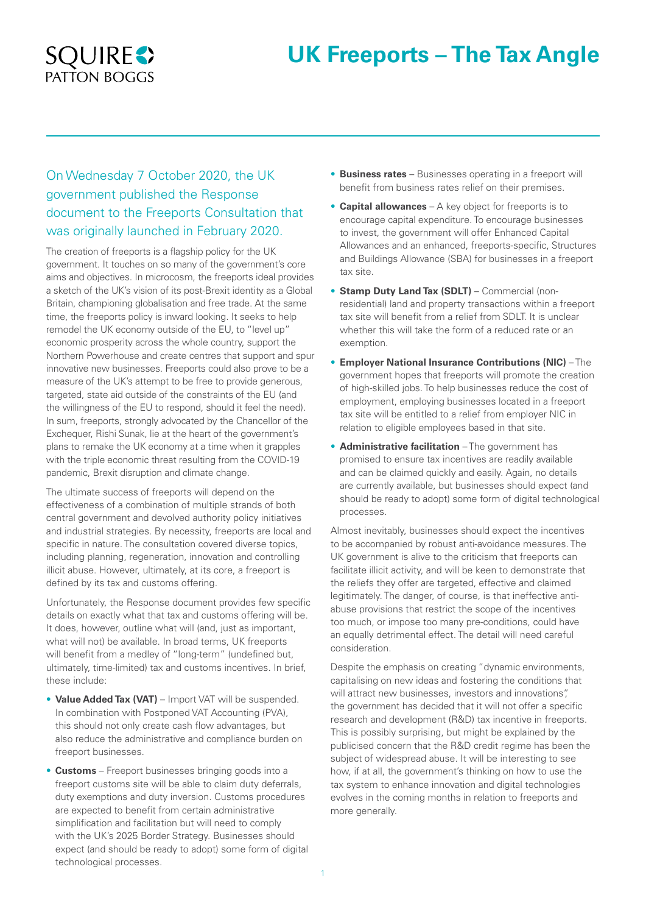# **UK Freeports – The Tax Angle**



# On Wednesday 7 October 2020, the UK government published the Response document to the Freeports Consultation that was originally launched in February 2020.

The creation of freeports is a flagship policy for the UK government. It touches on so many of the government's core aims and objectives. In microcosm, the freeports ideal provides a sketch of the UK's vision of its post-Brexit identity as a Global Britain, championing globalisation and free trade. At the same time, the freeports policy is inward looking. It seeks to help remodel the UK economy outside of the EU, to "level up" economic prosperity across the whole country, support the Northern Powerhouse and create centres that support and spur innovative new businesses. Freeports could also prove to be a measure of the UK's attempt to be free to provide generous, targeted, state aid outside of the constraints of the EU (and the willingness of the EU to respond, should it feel the need). In sum, freeports, strongly advocated by the Chancellor of the Exchequer, Rishi Sunak, lie at the heart of the government's plans to remake the UK economy at a time when it grapples with the triple economic threat resulting from the COVID-19 pandemic, Brexit disruption and climate change.

The ultimate success of freeports will depend on the effectiveness of a combination of multiple strands of both central government and devolved authority policy initiatives and industrial strategies. By necessity, freeports are local and specific in nature. The consultation covered diverse topics, including planning, regeneration, innovation and controlling illicit abuse. However, ultimately, at its core, a freeport is defined by its tax and customs offering.

Unfortunately, the Response document provides few specific details on exactly what that tax and customs offering will be. It does, however, outline what will (and, just as important, what will not) be available. In broad terms, UK freeports will benefit from a medley of "long-term" (undefined but, ultimately, time-limited) tax and customs incentives. In brief, these include:

- **Value Added Tax (VAT)** Import VAT will be suspended. In combination with Postponed VAT Accounting (PVA), this should not only create cash flow advantages, but also reduce the administrative and compliance burden on freeport businesses.
- **Customs** Freeport businesses bringing goods into a freeport customs site will be able to claim duty deferrals, duty exemptions and duty inversion. Customs procedures are expected to benefit from certain administrative simplification and facilitation but will need to comply with the UK's 2025 Border Strategy. Businesses should expect (and should be ready to adopt) some form of digital technological processes.
- **Business rates** Businesses operating in a freeport will benefit from business rates relief on their premises.
- **Capital allowances** A key object for freeports is to encourage capital expenditure. To encourage businesses to invest, the government will offer Enhanced Capital Allowances and an enhanced, freeports-specific, Structures and Buildings Allowance (SBA) for businesses in a freeport tax site.
- **Stamp Duty Land Tax (SDLT)** Commercial (nonresidential) land and property transactions within a freeport tax site will benefit from a relief from SDLT. It is unclear whether this will take the form of a reduced rate or an exemption.
- **Employer National Insurance Contributions (NIC)** The government hopes that freeports will promote the creation of high-skilled jobs. To help businesses reduce the cost of employment, employing businesses located in a freeport tax site will be entitled to a relief from employer NIC in relation to eligible employees based in that site.
- **Administrative facilitation** The government has promised to ensure tax incentives are readily available and can be claimed quickly and easily. Again, no details are currently available, but businesses should expect (and should be ready to adopt) some form of digital technological processes.

Almost inevitably, businesses should expect the incentives to be accompanied by robust anti-avoidance measures. The UK government is alive to the criticism that freeports can facilitate illicit activity, and will be keen to demonstrate that the reliefs they offer are targeted, effective and claimed legitimately. The danger, of course, is that ineffective antiabuse provisions that restrict the scope of the incentives too much, or impose too many pre-conditions, could have an equally detrimental effect. The detail will need careful consideration.

Despite the emphasis on creating "dynamic environments, capitalising on new ideas and fostering the conditions that will attract new businesses, investors and innovations", the government has decided that it will not offer a specific research and development (R&D) tax incentive in freeports. This is possibly surprising, but might be explained by the publicised concern that the R&D credit regime has been the subject of widespread abuse. It will be interesting to see how, if at all, the government's thinking on how to use the tax system to enhance innovation and digital technologies evolves in the coming months in relation to freeports and more generally.